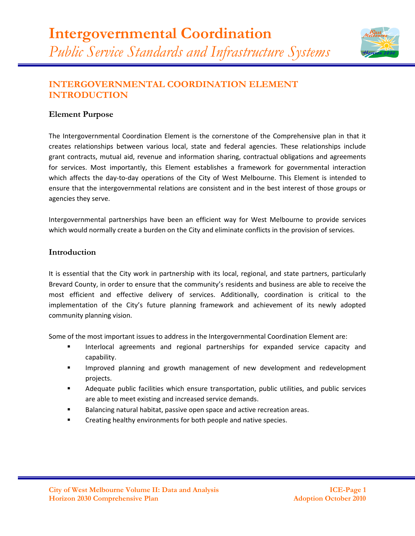

# **INTERGOVERNMENTAL COORDINATION ELEMENT INTRODUCTION**

## **Element Purpose**

The Intergovernmental Coordination Element is the cornerstone of the Comprehensive plan in that it creates relationships between various local, state and federal agencies. These relationships include grant contracts, mutual aid, revenue and information sharing, contractual obligations and agreements for services. Most importantly, this Element establishes a framework for governmental interaction which affects the day-to-day operations of the City of West Melbourne. This Element is intended to ensure that the intergovernmental relations are consistent and in the best interest of those groups or agencies they serve.

Intergovernmental partnerships have been an efficient way for West Melbourne to provide services which would normally create a burden on the City and eliminate conflicts in the provision of services.

## **Introduction**

It is essential that the City work in partnership with its local, regional, and state partners, particularly Brevard County, in order to ensure that the community's residents and business are able to receive the most efficient and effective delivery of services. Additionally, coordination is critical to the implementation of the City's future planning framework and achievement of its newly adopted community planning vision.

Some of the most important issues to address in the Intergovernmental Coordination Element are:

- Interlocal agreements and regional partnerships for expanded service capacity and capability.
- Improved planning and growth management of new development and redevelopment projects.
- Adequate public facilities which ensure transportation, public utilities, and public services are able to meet existing and increased service demands.
- Balancing natural habitat, passive open space and active recreation areas.
- Creating healthy environments for both people and native species.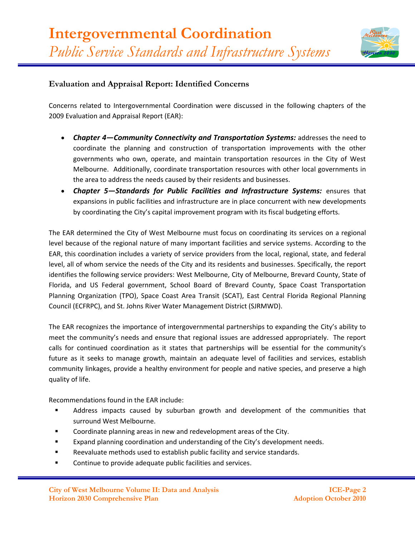

## **Evaluation and Appraisal Report: Identified Concerns**

Concerns related to Intergovernmental Coordination were discussed in the following chapters of the 2009 Evaluation and Appraisal Report (EAR):

- *Chapter 4—Community Connectivity and Transportation Systems:* addresses the need to coordinate the planning and construction of transportation improvements with the other governments who own, operate, and maintain transportation resources in the City of West Melbourne. Additionally, coordinate transportation resources with other local governments in the area to address the needs caused by their residents and businesses.
- *Chapter 5—Standards for Public Facilities and Infrastructure Systems:* ensures that expansions in public facilities and infrastructure are in place concurrent with new developments by coordinating the City's capital improvement program with its fiscal budgeting efforts.

The EAR determined the City of West Melbourne must focus on coordinating its services on a regional level because of the regional nature of many important facilities and service systems. According to the EAR, this coordination includes a variety of service providers from the local, regional, state, and federal level, all of whom service the needs of the City and its residents and businesses. Specifically, the report identifies the following service providers: West Melbourne, City of Melbourne, Brevard County, State of Florida, and US Federal government, School Board of Brevard County, Space Coast Transportation Planning Organization (TPO), Space Coast Area Transit (SCAT), East Central Florida Regional Planning Council (ECFRPC), and St. Johns River Water Management District (SJRMWD).

The EAR recognizes the importance of intergovernmental partnerships to expanding the City's ability to meet the community's needs and ensure that regional issues are addressed appropriately. The report calls for continued coordination as it states that partnerships will be essential for the community's future as it seeks to manage growth, maintain an adequate level of facilities and services, establish community linkages, provide a healthy environment for people and native species, and preserve a high quality of life.

Recommendations found in the EAR include:

- Address impacts caused by suburban growth and development of the communities that surround West Melbourne.
- Coordinate planning areas in new and redevelopment areas of the City.
- Expand planning coordination and understanding of the City's development needs.
- Reevaluate methods used to establish public facility and service standards.
- Continue to provide adequate public facilities and services.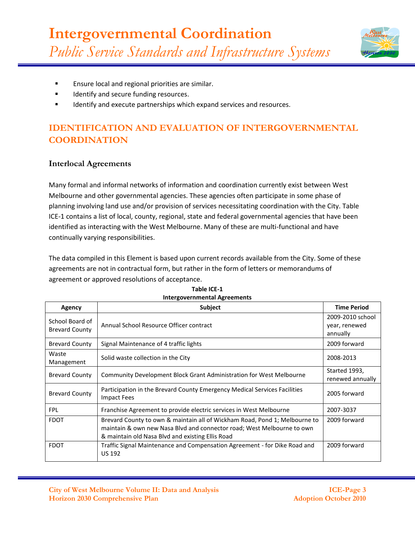

- **Ensure local and regional priorities are similar.**
- Identify and secure funding resources.
- Identify and execute partnerships which expand services and resources.

# **IDENTIFICATION AND EVALUATION OF INTERGOVERNMENTAL COORDINATION**

## **Interlocal Agreements**

Many formal and informal networks of information and coordination currently exist between West Melbourne and other governmental agencies. These agencies often participate in some phase of planning involving land use and/or provision of services necessitating coordination with the City. Table ICE-1 contains a list of local, county, regional, state and federal governmental agencies that have been identified as interacting with the West Melbourne. Many of these are multi-functional and have continually varying responsibilities.

The data compiled in this Element is based upon current records available from the City. Some of these agreements are not in contractual form, but rather in the form of letters or memorandums of agreement or approved resolutions of acceptance.

| Agency                                   | <b>Subject</b>                                                                                                                                                                                           | <b>Time Period</b>                            |
|------------------------------------------|----------------------------------------------------------------------------------------------------------------------------------------------------------------------------------------------------------|-----------------------------------------------|
| School Board of<br><b>Brevard County</b> | Annual School Resource Officer contract                                                                                                                                                                  | 2009-2010 school<br>year, renewed<br>annually |
| <b>Brevard County</b>                    | Signal Maintenance of 4 traffic lights                                                                                                                                                                   | 2009 forward                                  |
| Waste<br>Management                      | Solid waste collection in the City                                                                                                                                                                       | 2008-2013                                     |
| <b>Brevard County</b>                    | <b>Community Development Block Grant Administration for West Melbourne</b>                                                                                                                               | Started 1993,<br>renewed annually             |
| <b>Brevard County</b>                    | Participation in the Brevard County Emergency Medical Services Facilities<br><b>Impact Fees</b>                                                                                                          | 2005 forward                                  |
| <b>FPL</b>                               | Franchise Agreement to provide electric services in West Melbourne                                                                                                                                       | 2007-3037                                     |
| <b>FDOT</b>                              | Brevard County to own & maintain all of Wickham Road, Pond 1; Melbourne to<br>maintain & own new Nasa Blvd and connector road; West Melbourne to own<br>& maintain old Nasa Blvd and existing Ellis Road | 2009 forward                                  |
| <b>FDOT</b>                              | Traffic Signal Maintenance and Compensation Agreement - for Dike Road and<br><b>US 192</b>                                                                                                               | 2009 forward                                  |

#### **Table ICE-1 Intergovernmental Agreements**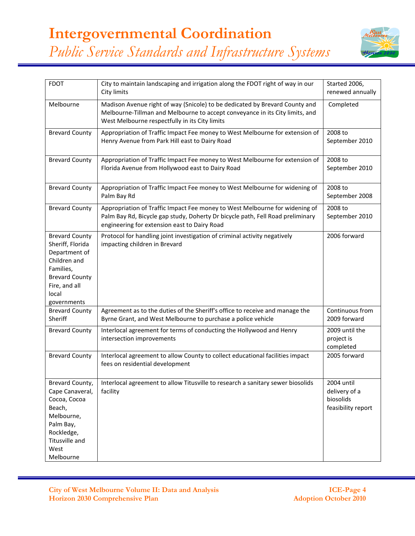

| <b>FDOT</b>                                                                                                                                               | City to maintain landscaping and irrigation along the FDOT right of way in our<br>City limits                                                                                                                 | Started 2006,<br>renewed annually                              |
|-----------------------------------------------------------------------------------------------------------------------------------------------------------|---------------------------------------------------------------------------------------------------------------------------------------------------------------------------------------------------------------|----------------------------------------------------------------|
| Melbourne                                                                                                                                                 | Madison Avenue right of way (Snicole) to be dedicated by Brevard County and<br>Melbourne-Tillman and Melbourne to accept conveyance in its City limits, and<br>West Melbourne respectfully in its City limits | Completed                                                      |
| <b>Brevard County</b>                                                                                                                                     | Appropriation of Traffic Impact Fee money to West Melbourne for extension of<br>Henry Avenue from Park Hill east to Dairy Road                                                                                | 2008 to<br>September 2010                                      |
| <b>Brevard County</b>                                                                                                                                     | Appropriation of Traffic Impact Fee money to West Melbourne for extension of<br>Florida Avenue from Hollywood east to Dairy Road                                                                              | 2008 to<br>September 2010                                      |
| <b>Brevard County</b>                                                                                                                                     | Appropriation of Traffic Impact Fee money to West Melbourne for widening of<br>Palm Bay Rd                                                                                                                    | 2008 to<br>September 2008                                      |
| <b>Brevard County</b>                                                                                                                                     | Appropriation of Traffic Impact Fee money to West Melbourne for widening of<br>Palm Bay Rd, Bicycle gap study, Doherty Dr bicycle path, Fell Road preliminary<br>engineering for extension east to Dairy Road | 2008 to<br>September 2010                                      |
| <b>Brevard County</b><br>Sheriff, Florida<br>Department of<br>Children and<br>Families,<br><b>Brevard County</b><br>Fire, and all<br>local<br>governments | Protocol for handling joint investigation of criminal activity negatively<br>impacting children in Brevard                                                                                                    | 2006 forward                                                   |
| <b>Brevard County</b><br>Sheriff                                                                                                                          | Agreement as to the duties of the Sheriff's office to receive and manage the<br>Byrne Grant, and West Melbourne to purchase a police vehicle                                                                  | Continuous from<br>2009 forward                                |
| <b>Brevard County</b>                                                                                                                                     | Interlocal agreement for terms of conducting the Hollywood and Henry<br>intersection improvements                                                                                                             | 2009 until the<br>project is<br>completed                      |
| <b>Brevard County</b>                                                                                                                                     | Interlocal agreement to allow County to collect educational facilities impact<br>fees on residential development                                                                                              | 2005 forward                                                   |
| Brevard County,<br>Cape Canaveral,<br>Cocoa, Cocoa<br>Beach,<br>Melbourne,<br>Palm Bay,<br>Rockledge,<br>Titusville and<br>West<br>Melbourne              | Interlocal agreement to allow Titusville to research a sanitary sewer biosolids<br>facility                                                                                                                   | 2004 until<br>delivery of a<br>biosolids<br>feasibility report |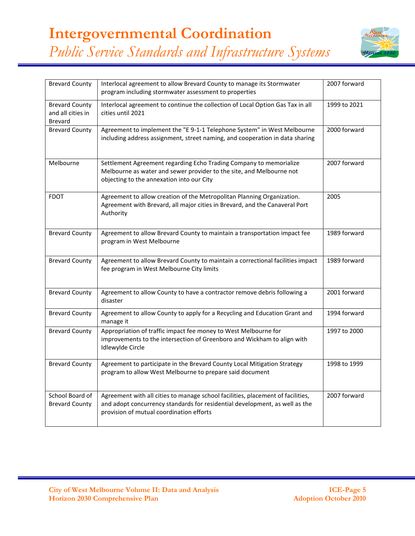

| <b>Brevard County</b>                                 | Interlocal agreement to allow Brevard County to manage its Stormwater<br>program including stormwater assessment to properties                                                                             | 2007 forward |
|-------------------------------------------------------|------------------------------------------------------------------------------------------------------------------------------------------------------------------------------------------------------------|--------------|
| <b>Brevard County</b><br>and all cities in<br>Brevard | Interlocal agreement to continue the collection of Local Option Gas Tax in all<br>cities until 2021                                                                                                        | 1999 to 2021 |
| <b>Brevard County</b>                                 | Agreement to implement the "E 9-1-1 Telephone System" in West Melbourne<br>including address assignment, street naming, and cooperation in data sharing                                                    | 2000 forward |
| Melbourne                                             | Settlement Agreement regarding Echo Trading Company to memorialize<br>Melbourne as water and sewer provider to the site, and Melbourne not<br>objecting to the annexation into our City                    | 2007 forward |
| <b>FDOT</b>                                           | Agreement to allow creation of the Metropolitan Planning Organization.<br>Agreement with Brevard, all major cities in Brevard, and the Canaveral Port<br>Authority                                         | 2005         |
| <b>Brevard County</b>                                 | Agreement to allow Brevard County to maintain a transportation impact fee<br>program in West Melbourne                                                                                                     | 1989 forward |
| <b>Brevard County</b>                                 | Agreement to allow Brevard County to maintain a correctional facilities impact<br>fee program in West Melbourne City limits                                                                                | 1989 forward |
| <b>Brevard County</b>                                 | Agreement to allow County to have a contractor remove debris following a<br>disaster                                                                                                                       | 2001 forward |
| <b>Brevard County</b>                                 | Agreement to allow County to apply for a Recycling and Education Grant and<br>manage it                                                                                                                    | 1994 forward |
| <b>Brevard County</b>                                 | Appropriation of traffic impact fee money to West Melbourne for<br>improvements to the intersection of Greenboro and Wickham to align with<br>Idlewylde Circle                                             | 1997 to 2000 |
| <b>Brevard County</b>                                 | Agreement to participate in the Brevard County Local Mitigation Strategy<br>program to allow West Melbourne to prepare said document                                                                       | 1998 to 1999 |
| School Board of<br><b>Brevard County</b>              | Agreement with all cities to manage school facilities, placement of facilities,<br>and adopt concurrency standards for residential development, as well as the<br>provision of mutual coordination efforts | 2007 forward |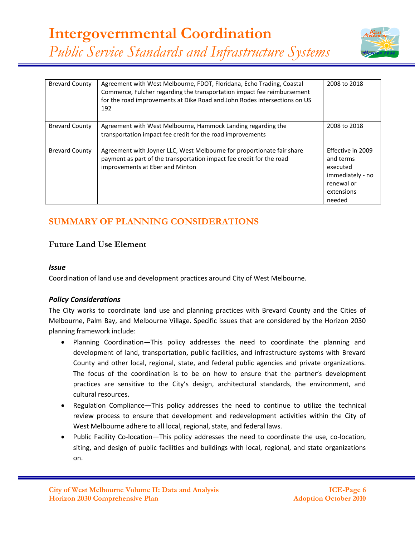

| <b>Brevard County</b> | Agreement with West Melbourne, FDOT, Floridana, Echo Trading, Coastal<br>Commerce, Fulcher regarding the transportation impact fee reimbursement<br>for the road improvements at Dike Road and John Rodes intersections on US<br>192 | 2008 to 2018                                                                                         |
|-----------------------|--------------------------------------------------------------------------------------------------------------------------------------------------------------------------------------------------------------------------------------|------------------------------------------------------------------------------------------------------|
| <b>Brevard County</b> | Agreement with West Melbourne, Hammock Landing regarding the<br>transportation impact fee credit for the road improvements                                                                                                           | 2008 to 2018                                                                                         |
| <b>Brevard County</b> | Agreement with Joyner LLC, West Melbourne for proportionate fair share<br>payment as part of the transportation impact fee credit for the road<br>improvements at Eber and Minton                                                    | Effective in 2009<br>and terms<br>executed<br>immediately - no<br>renewal or<br>extensions<br>needed |

# **SUMMARY OF PLANNING CONSIDERATIONS**

## **Future Land Use Element**

#### *Issue*

Coordination of land use and development practices around City of West Melbourne.

#### *Policy Considerations*

The City works to coordinate land use and planning practices with Brevard County and the Cities of Melbourne, Palm Bay, and Melbourne Village. Specific issues that are considered by the Horizon 2030 planning framework include:

- Planning Coordination—This policy addresses the need to coordinate the planning and development of land, transportation, public facilities, and infrastructure systems with Brevard County and other local, regional, state, and federal public agencies and private organizations. The focus of the coordination is to be on how to ensure that the partner's development practices are sensitive to the City's design, architectural standards, the environment, and cultural resources.
- Regulation Compliance—This policy addresses the need to continue to utilize the technical review process to ensure that development and redevelopment activities within the City of West Melbourne adhere to all local, regional, state, and federal laws.
- Public Facility Co-location—This policy addresses the need to coordinate the use, co-location, siting, and design of public facilities and buildings with local, regional, and state organizations on.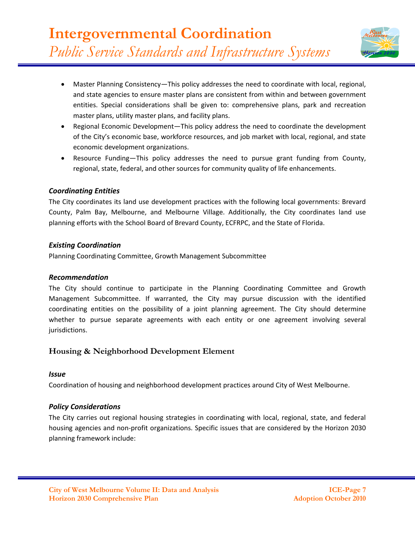

- Master Planning Consistency—This policy addresses the need to coordinate with local, regional, and state agencies to ensure master plans are consistent from within and between government entities. Special considerations shall be given to: comprehensive plans, park and recreation master plans, utility master plans, and facility plans.
- Regional Economic Development—This policy address the need to coordinate the development of the City's economic base, workforce resources, and job market with local, regional, and state economic development organizations.
- Resource Funding—This policy addresses the need to pursue grant funding from County, regional, state, federal, and other sources for community quality of life enhancements.

The City coordinates its land use development practices with the following local governments: Brevard County, Palm Bay, Melbourne, and Melbourne Village. Additionally, the City coordinates land use planning efforts with the School Board of Brevard County, ECFRPC, and the State of Florida.

#### *Existing Coordination*

Planning Coordinating Committee, Growth Management Subcommittee

#### *Recommendation*

The City should continue to participate in the Planning Coordinating Committee and Growth Management Subcommittee. If warranted, the City may pursue discussion with the identified coordinating entities on the possibility of a joint planning agreement. The City should determine whether to pursue separate agreements with each entity or one agreement involving several jurisdictions.

## **Housing & Neighborhood Development Element**

#### *Issue*

Coordination of housing and neighborhood development practices around City of West Melbourne.

## *Policy Considerations*

The City carries out regional housing strategies in coordinating with local, regional, state, and federal housing agencies and non-profit organizations. Specific issues that are considered by the Horizon 2030 planning framework include: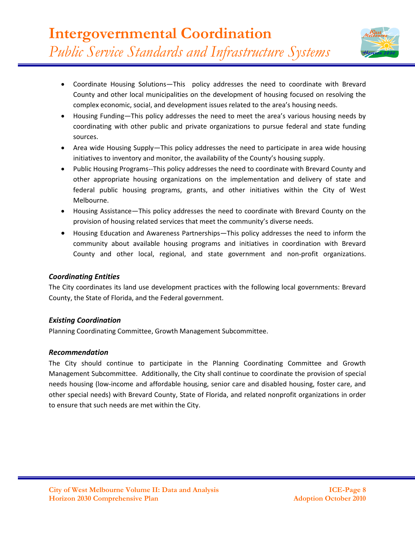- Coordinate Housing Solutions—This policy addresses the need to coordinate with Brevard County and other local municipalities on the development of housing focused on resolving the complex economic, social, and development issues related to the area's housing needs.
- Housing Funding—This policy addresses the need to meet the area's various housing needs by coordinating with other public and private organizations to pursue federal and state funding sources.
- Area wide Housing Supply—This policy addresses the need to participate in area wide housing initiatives to inventory and monitor, the availability of the County's housing supply.
- Public Housing Programs--This policy addresses the need to coordinate with Brevard County and other appropriate housing organizations on the implementation and delivery of state and federal public housing programs, grants, and other initiatives within the City of West Melbourne.
- Housing Assistance—This policy addresses the need to coordinate with Brevard County on the provision of housing related services that meet the community's diverse needs.
- Housing Education and Awareness Partnerships—This policy addresses the need to inform the community about available housing programs and initiatives in coordination with Brevard County and other local, regional, and state government and non-profit organizations.

The City coordinates its land use development practices with the following local governments: Brevard County, the State of Florida, and the Federal government.

#### *Existing Coordination*

Planning Coordinating Committee, Growth Management Subcommittee.

#### *Recommendation*

The City should continue to participate in the Planning Coordinating Committee and Growth Management Subcommittee. Additionally, the City shall continue to coordinate the provision of special needs housing (low-income and affordable housing, senior care and disabled housing, foster care, and other special needs) with Brevard County, State of Florida, and related nonprofit organizations in order to ensure that such needs are met within the City.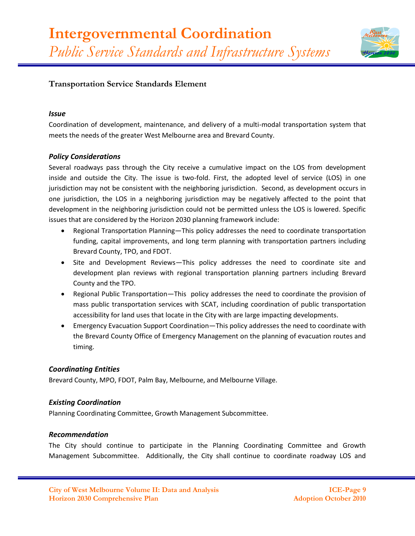

## **Transportation Service Standards Element**

#### *Issue*

Coordination of development, maintenance, and delivery of a multi-modal transportation system that meets the needs of the greater West Melbourne area and Brevard County.

#### *Policy Considerations*

Several roadways pass through the City receive a cumulative impact on the LOS from development inside and outside the City. The issue is two-fold. First, the adopted level of service (LOS) in one jurisdiction may not be consistent with the neighboring jurisdiction. Second, as development occurs in one jurisdiction, the LOS in a neighboring jurisdiction may be negatively affected to the point that development in the neighboring jurisdiction could not be permitted unless the LOS is lowered. Specific issues that are considered by the Horizon 2030 planning framework include:

- Regional Transportation Planning—This policy addresses the need to coordinate transportation funding, capital improvements, and long term planning with transportation partners including Brevard County, TPO, and FDOT.
- Site and Development Reviews—This policy addresses the need to coordinate site and development plan reviews with regional transportation planning partners including Brevard County and the TPO.
- Regional Public Transportation—This policy addresses the need to coordinate the provision of mass public transportation services with SCAT, including coordination of public transportation accessibility for land uses that locate in the City with are large impacting developments.
- Emergency Evacuation Support Coordination—This policy addresses the need to coordinate with the Brevard County Office of Emergency Management on the planning of evacuation routes and timing.

#### *Coordinating Entities*

Brevard County, MPO, FDOT, Palm Bay, Melbourne, and Melbourne Village.

#### *Existing Coordination*

Planning Coordinating Committee, Growth Management Subcommittee.

#### *Recommendation*

The City should continue to participate in the Planning Coordinating Committee and Growth Management Subcommittee. Additionally, the City shall continue to coordinate roadway LOS and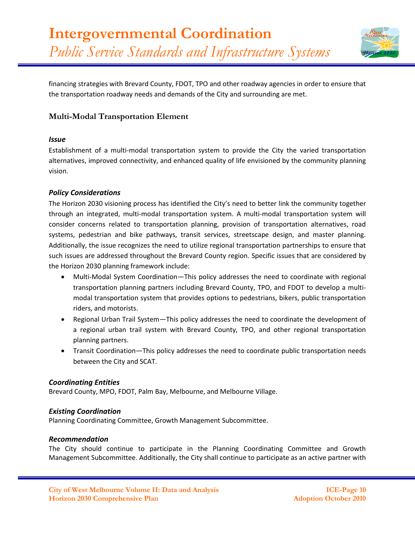

financing strategies with Brevard County, FDOT, TPO and other roadway agencies in order to ensure that the transportation roadway needs and demands of the City and surrounding are met.

## **Multi-Modal Transportation Element**

#### *Issue*

Establishment of a multi-modal transportation system to provide the City the varied transportation alternatives, improved connectivity, and enhanced quality of life envisioned by the community planning vision.

#### *Policy Considerations*

The Horizon 2030 visioning process has identified the City's need to better link the community together through an integrated, multi-modal transportation system. A multi-modal transportation system will consider concerns related to transportation planning, provision of transportation alternatives, road systems, pedestrian and bike pathways, transit services, streetscape design, and master planning. Additionally, the issue recognizes the need to utilize regional transportation partnerships to ensure that such issues are addressed throughout the Brevard County region. Specific issues that are considered by the Horizon 2030 planning framework include:

- Multi-Modal System Coordination—This policy addresses the need to coordinate with regional transportation planning partners including Brevard County, TPO, and FDOT to develop a multimodal transportation system that provides options to pedestrians, bikers, public transportation riders, and motorists.
- Regional Urban Trail System—This policy addresses the need to coordinate the development of a regional urban trail system with Brevard County, TPO, and other regional transportation planning partners.
- Transit Coordination—This policy addresses the need to coordinate public transportation needs between the City and SCAT.

#### *Coordinating Entities*

Brevard County, MPO, FDOT, Palm Bay, Melbourne, and Melbourne Village.

#### *Existing Coordination*

Planning Coordinating Committee, Growth Management Subcommittee.

#### *Recommendation*

The City should continue to participate in the Planning Coordinating Committee and Growth Management Subcommittee. Additionally, the City shall continue to participate as an active partner with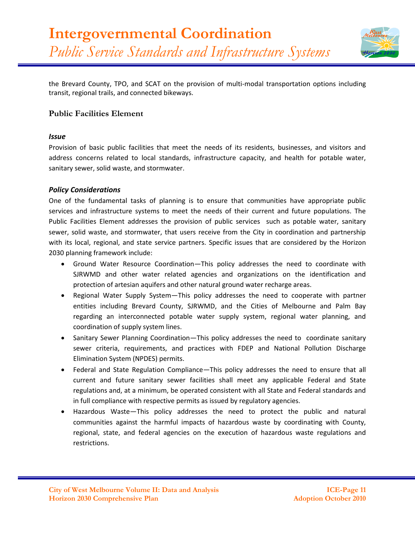

the Brevard County, TPO, and SCAT on the provision of multi-modal transportation options including transit, regional trails, and connected bikeways.

## **Public Facilities Element**

#### *Issue*

Provision of basic public facilities that meet the needs of its residents, businesses, and visitors and address concerns related to local standards, infrastructure capacity, and health for potable water, sanitary sewer, solid waste, and stormwater.

#### *Policy Considerations*

One of the fundamental tasks of planning is to ensure that communities have appropriate public services and infrastructure systems to meet the needs of their current and future populations. The Public Facilities Element addresses the provision of public services such as potable water, sanitary sewer, solid waste, and stormwater, that users receive from the City in coordination and partnership with its local, regional, and state service partners. Specific issues that are considered by the Horizon 2030 planning framework include:

- Ground Water Resource Coordination—This policy addresses the need to coordinate with SJRWMD and other water related agencies and organizations on the identification and protection of artesian aquifers and other natural ground water recharge areas.
- Regional Water Supply System—This policy addresses the need to cooperate with partner entities including Brevard County, SJRWMD, and the Cities of Melbourne and Palm Bay regarding an interconnected potable water supply system, regional water planning, and coordination of supply system lines.
- Sanitary Sewer Planning Coordination—This policy addresses the need to coordinate sanitary sewer criteria, requirements, and practices with FDEP and National Pollution Discharge Elimination System (NPDES) permits.
- Federal and State Regulation Compliance—This policy addresses the need to ensure that all current and future sanitary sewer facilities shall meet any applicable Federal and State regulations and, at a minimum, be operated consistent with all State and Federal standards and in full compliance with respective permits as issued by regulatory agencies.
- Hazardous Waste—This policy addresses the need to protect the public and natural communities against the harmful impacts of hazardous waste by coordinating with County, regional, state, and federal agencies on the execution of hazardous waste regulations and restrictions.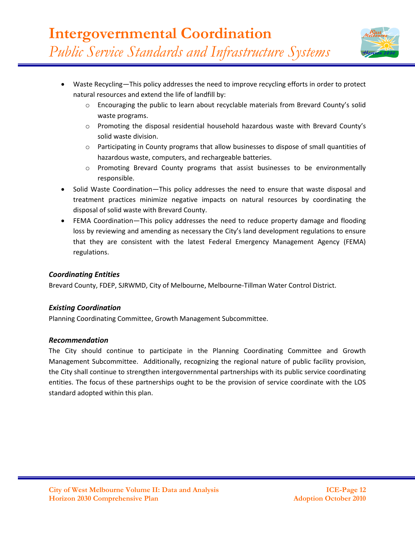

- Waste Recycling—This policy addresses the need to improve recycling efforts in order to protect natural resources and extend the life of landfill by:
	- $\circ$  Encouraging the public to learn about recyclable materials from Brevard County's solid waste programs.
	- o Promoting the disposal residential household hazardous waste with Brevard County's solid waste division.
	- o Participating in County programs that allow businesses to dispose of small quantities of hazardous waste, computers, and rechargeable batteries.
	- o Promoting Brevard County programs that assist businesses to be environmentally responsible.
- Solid Waste Coordination—This policy addresses the need to ensure that waste disposal and treatment practices minimize negative impacts on natural resources by coordinating the disposal of solid waste with Brevard County.
- FEMA Coordination—This policy addresses the need to reduce property damage and flooding loss by reviewing and amending as necessary the City's land development regulations to ensure that they are consistent with the latest Federal Emergency Management Agency (FEMA) regulations.

Brevard County, FDEP, SJRWMD, City of Melbourne, Melbourne-Tillman Water Control District.

## *Existing Coordination*

Planning Coordinating Committee, Growth Management Subcommittee.

## *Recommendation*

The City should continue to participate in the Planning Coordinating Committee and Growth Management Subcommittee. Additionally, recognizing the regional nature of public facility provision, the City shall continue to strengthen intergovernmental partnerships with its public service coordinating entities. The focus of these partnerships ought to be the provision of service coordinate with the LOS standard adopted within this plan.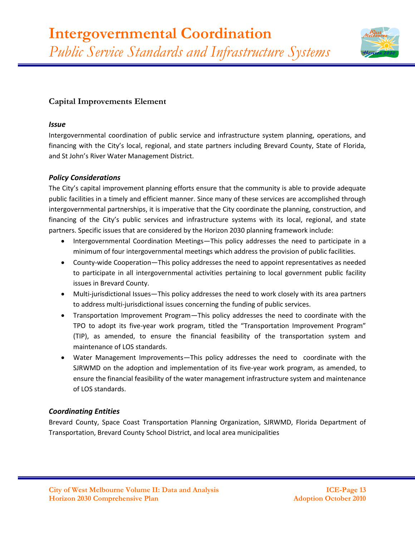

## **Capital Improvements Element**

#### *Issue*

Intergovernmental coordination of public service and infrastructure system planning, operations, and financing with the City's local, regional, and state partners including Brevard County, State of Florida, and St John's River Water Management District.

#### *Policy Considerations*

The City's capital improvement planning efforts ensure that the community is able to provide adequate public facilities in a timely and efficient manner. Since many of these services are accomplished through intergovernmental partnerships, it is imperative that the City coordinate the planning, construction, and financing of the City's public services and infrastructure systems with its local, regional, and state partners. Specific issues that are considered by the Horizon 2030 planning framework include:

- Intergovernmental Coordination Meetings—This policy addresses the need to participate in a minimum of four intergovernmental meetings which address the provision of public facilities.
- County-wide Cooperation—This policy addresses the need to appoint representatives as needed to participate in all intergovernmental activities pertaining to local government public facility issues in Brevard County.
- Multi-jurisdictional Issues—This policy addresses the need to work closely with its area partners to address multi-jurisdictional issues concerning the funding of public services.
- Transportation Improvement Program—This policy addresses the need to coordinate with the TPO to adopt its five-year work program, titled the "Transportation Improvement Program" (TIP), as amended, to ensure the financial feasibility of the transportation system and maintenance of LOS standards.
- Water Management Improvements—This policy addresses the need to coordinate with the SJRWMD on the adoption and implementation of its five-year work program, as amended, to ensure the financial feasibility of the water management infrastructure system and maintenance of LOS standards.

## *Coordinating Entities*

Brevard County, Space Coast Transportation Planning Organization, SJRWMD, Florida Department of Transportation, Brevard County School District, and local area municipalities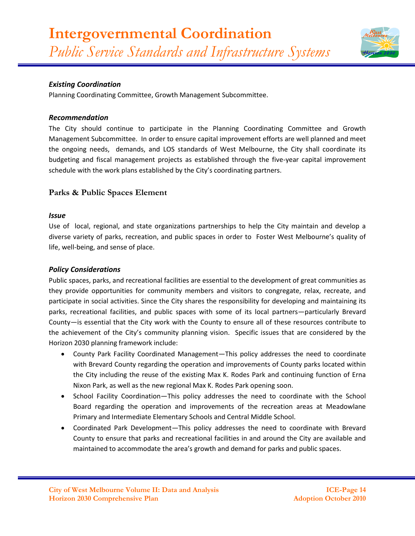

## *Existing Coordination*

Planning Coordinating Committee, Growth Management Subcommittee.

#### *Recommendation*

The City should continue to participate in the Planning Coordinating Committee and Growth Management Subcommittee. In order to ensure capital improvement efforts are well planned and meet the ongoing needs, demands, and LOS standards of West Melbourne, the City shall coordinate its budgeting and fiscal management projects as established through the five-year capital improvement schedule with the work plans established by the City's coordinating partners.

## **Parks & Public Spaces Element**

#### *Issue*

Use of local, regional, and state organizations partnerships to help the City maintain and develop a diverse variety of parks, recreation, and public spaces in order to Foster West Melbourne's quality of life, well-being, and sense of place.

#### *Policy Considerations*

Public spaces, parks, and recreational facilities are essential to the development of great communities as they provide opportunities for community members and visitors to congregate, relax, recreate, and participate in social activities. Since the City shares the responsibility for developing and maintaining its parks, recreational facilities, and public spaces with some of its local partners—particularly Brevard County—is essential that the City work with the County to ensure all of these resources contribute to the achievement of the City's community planning vision. Specific issues that are considered by the Horizon 2030 planning framework include:

- County Park Facility Coordinated Management—This policy addresses the need to coordinate with Brevard County regarding the operation and improvements of County parks located within the City including the reuse of the existing Max K. Rodes Park and continuing function of Erna Nixon Park, as well as the new regional Max K. Rodes Park opening soon.
- School Facility Coordination-This policy addresses the need to coordinate with the School Board regarding the operation and improvements of the recreation areas at Meadowlane Primary and Intermediate Elementary Schools and Central Middle School.
- Coordinated Park Development—This policy addresses the need to coordinate with Brevard County to ensure that parks and recreational facilities in and around the City are available and maintained to accommodate the area's growth and demand for parks and public spaces.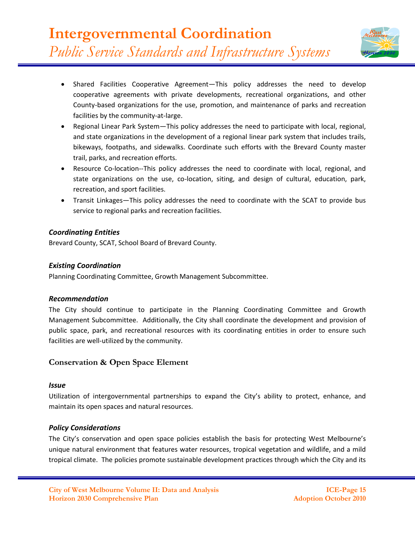- Shared Facilities Cooperative Agreement—This policy addresses the need to develop cooperative agreements with private developments, recreational organizations, and other County-based organizations for the use, promotion, and maintenance of parks and recreation facilities by the community-at-large.
- Regional Linear Park System—This policy addresses the need to participate with local, regional, and state organizations in the development of a regional linear park system that includes trails, bikeways, footpaths, and sidewalks. Coordinate such efforts with the Brevard County master trail, parks, and recreation efforts.
- Resource Co-location--This policy addresses the need to coordinate with local, regional, and state organizations on the use, co-location, siting, and design of cultural, education, park, recreation, and sport facilities.
- Transit Linkages—This policy addresses the need to coordinate with the SCAT to provide bus service to regional parks and recreation facilities.

Brevard County, SCAT, School Board of Brevard County.

## *Existing Coordination*

Planning Coordinating Committee, Growth Management Subcommittee.

## *Recommendation*

The City should continue to participate in the Planning Coordinating Committee and Growth Management Subcommittee. Additionally, the City shall coordinate the development and provision of public space, park, and recreational resources with its coordinating entities in order to ensure such facilities are well-utilized by the community.

## **Conservation & Open Space Element**

#### *Issue*

Utilization of intergovernmental partnerships to expand the City's ability to protect, enhance, and maintain its open spaces and natural resources.

## *Policy Considerations*

The City's conservation and open space policies establish the basis for protecting West Melbourne's unique natural environment that features water resources, tropical vegetation and wildlife, and a mild tropical climate. The policies promote sustainable development practices through which the City and its